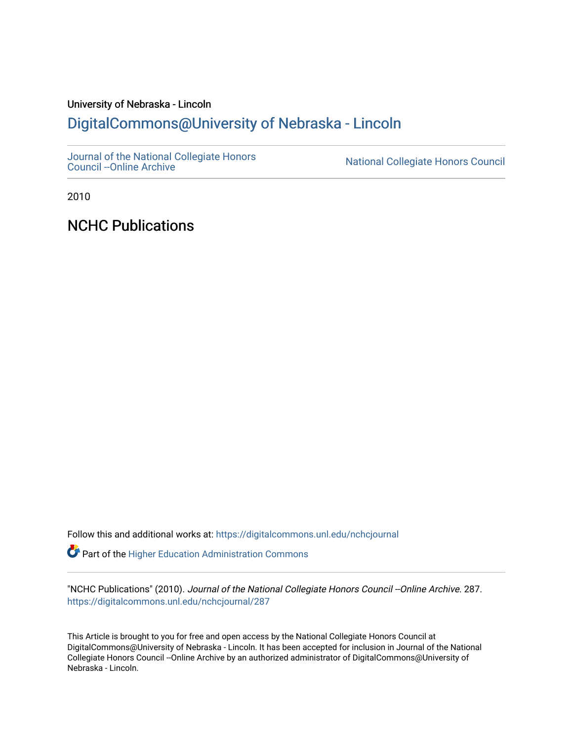## University of Nebraska - Lincoln [DigitalCommons@University of Nebraska - Lincoln](https://digitalcommons.unl.edu/)

[Journal of the National Collegiate Honors](https://digitalcommons.unl.edu/nchcjournal) 

National Collegiate Honors Council

2010

NCHC Publications

Follow this and additional works at: [https://digitalcommons.unl.edu/nchcjournal](https://digitalcommons.unl.edu/nchcjournal?utm_source=digitalcommons.unl.edu%2Fnchcjournal%2F287&utm_medium=PDF&utm_campaign=PDFCoverPages) 

**Part of the Higher Education Administration Commons** 

"NCHC Publications" (2010). Journal of the National Collegiate Honors Council --Online Archive. 287. [https://digitalcommons.unl.edu/nchcjournal/287](https://digitalcommons.unl.edu/nchcjournal/287?utm_source=digitalcommons.unl.edu%2Fnchcjournal%2F287&utm_medium=PDF&utm_campaign=PDFCoverPages) 

This Article is brought to you for free and open access by the National Collegiate Honors Council at DigitalCommons@University of Nebraska - Lincoln. It has been accepted for inclusion in Journal of the National Collegiate Honors Council --Online Archive by an authorized administrator of DigitalCommons@University of Nebraska - Lincoln.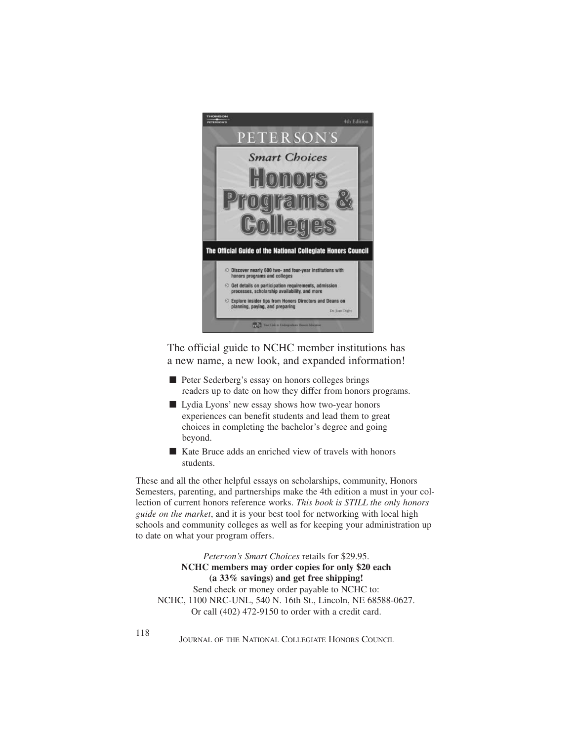

The official guide to NCHC member institutions has a new name, a new look, and expanded information!

- Peter Sederberg's essay on honors colleges brings readers up to date on how they differ from honors programs.
- Lydia Lyons' new essay shows how two-year honors experiences can benefit students and lead them to great choices in completing the bachelor's degree and going beyond.
- Kate Bruce adds an enriched view of travels with honors students.

These and all the other helpful essays on scholarships, community, Honors Semesters, parenting, and partnerships make the 4th edition a must in your collection of current honors reference works. *This book is STILL the only honors guide on the market*, and it is your best tool for networking with local high schools and community colleges as well as for keeping your administration up to date on what your program offers.

*Peterson's Smart Choices* retails for \$29.95. **NCHC members may order copies for only \$20 each (a 33% savings) and get free shipping!** Send check or money order payable to NCHC to: NCHC, 1100 NRC-UNL, 540 N. 16th St., Lincoln, NE 68588-0627. Or call (402) 472-9150 to order with a credit card.

JOURNAL OF THE NATIONAL COLLEGIATE HONORS COUNCIL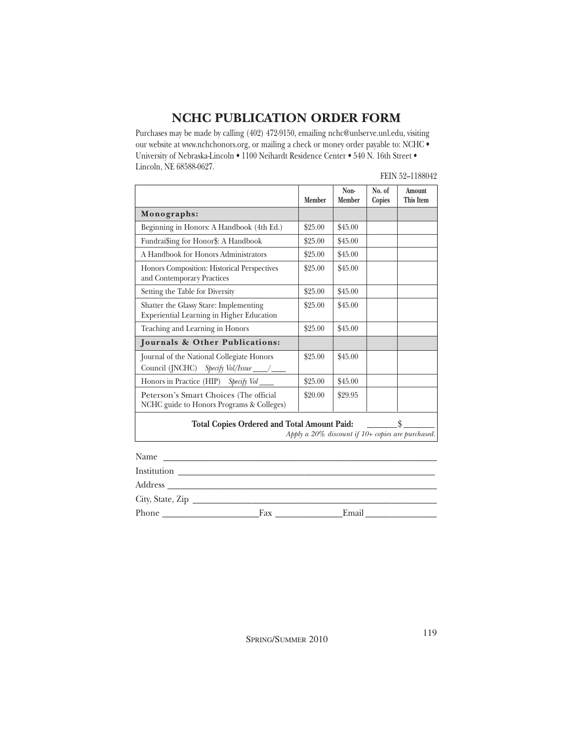## **NCHC PUBLICATION ORDER FORM**

Purchases may be made by calling (402) 472-9150, emailing nchc@unlserve.unl.edu, visiting our website at www.nchchonors.org, or mailing a check or money order payable to: NCHC • University of Nebraska-Lincoln • 1100 Neihardt Residence Center • 540 N. 16th Street • Lincoln, NE 68588-0627.

FEIN 52–1188042

|                                                                                             | Member  | Non-<br>Member | No. of<br>Copies | Amount<br>This Item |
|---------------------------------------------------------------------------------------------|---------|----------------|------------------|---------------------|
| Monographs:                                                                                 |         |                |                  |                     |
| Beginning in Honors: A Handbook (4th Ed.)                                                   | \$25.00 | \$45.00        |                  |                     |
| Fundrai\$ing for Honor\$: A Handbook                                                        | \$25.00 | \$45.00        |                  |                     |
| A Handbook for Honors Administrators                                                        | \$25.00 | \$45.00        |                  |                     |
| Honors Composition: Historical Perspectives<br>and Contemporary Practices                   | \$25.00 | \$45.00        |                  |                     |
| Setting the Table for Diversity                                                             | \$25.00 | \$45.00        |                  |                     |
| Shatter the Glassy Stare: Implementing<br>Experiential Learning in Higher Education         | \$25.00 | \$45.00        |                  |                     |
| Teaching and Learning in Honors                                                             | \$25.00 | \$45.00        |                  |                     |
| Journals & Other Publications:                                                              |         |                |                  |                     |
| Journal of the National Collegiate Honors<br>Council (JNCHC) Specify Vol/Issue _____/ _____ | \$25.00 | \$45.00        |                  |                     |
| Honors in Practice (HIP) Specify Vol ____                                                   | \$25.00 | \$45.00        |                  |                     |
| Peterson's Smart Choices (The official<br>NCHC guide to Honors Programs & Colleges)         | \$20.00 | \$29.95        |                  |                     |
| Apply a 20% discount if 10+ copies are purchased.                                           |         |                |                  |                     |
| Name                                                                                        |         |                |                  |                     |
| Institution                                                                                 |         |                |                  |                     |
| Address                                                                                     |         |                |                  |                     |

City, State, Zip \_\_\_\_\_\_\_\_\_\_\_\_\_\_\_\_\_\_\_\_\_\_\_\_\_\_\_\_\_\_\_\_\_\_\_\_\_\_\_\_\_\_\_\_\_\_\_\_\_\_\_\_\_\_\_\_\_\_ Phone Fax Email Phone Fax Email Phone Fax Email Phone Fax Email  $\sim$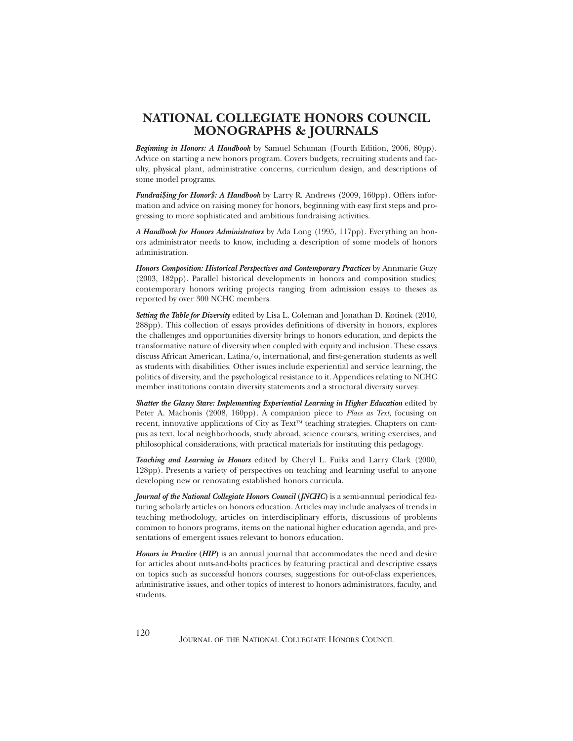## **NATIONAL COLLEGIATE HONORS COUNCIL MONOGRAPHS & JOURNALS**

*Beginning in Honors: A Handbook* by Samuel Schuman (Fourth Edition, 2006, 80pp). Advice on starting a new honors program. Covers budgets, recruiting students and faculty, physical plant, administrative concerns, curriculum design, and descriptions of some model programs.

*Fundrai\$ing for Honor\$: A Handbook* by Larry R. Andrews (2009, 160pp). Offers information and advice on raising money for honors, beginning with easy first steps and progressing to more sophisticated and ambitious fundraising activities.

*A Handbook for Honors Administrators* by Ada Long (1995, 117pp). Everything an honors administrator needs to know, including a description of some models of honors administration.

Honors Composition: Historical Perspectives and Contemporary Practices by Annmarie Guzy (2003, 182pp). Parallel historical developments in honors and composition studies; contemporary honors writing projects ranging from admission essays to theses as reported by over 300 NCHC members.

*Setting the Table for Diversity* edited by Lisa L. Coleman and Jonathan D. Kotinek (2010, 288pp). This collection of essays provides definitions of diversity in honors, explores the challenges and opportunities diversity brings to honors education, and depicts the transformative nature of diversity when coupled with equity and inclusion. These essays discuss African American, Latina/o, international, and first-generation students as well as students with disabilities. Other issues include experiential and service learning, the politics of diversity, and the psychological resistance to it. Appendices relating to NCHC member institutions contain diversity statements and a structural diversity survey.

**Shatter the Glassy Stare: Implementing Experiential Learning in Higher Education** edited by Peter A. Machonis (2008, 160pp). A companion piece to *Place as Text*, focusing on recent, innovative applications of City as  $Text^{\mathbb{M}}$  teaching strategies. Chapters on campus as text, local neighborhoods, study abroad, science courses, writing exercises, and philosophical considerations, with practical materials for instituting this pedagogy.

*Teaching and Learning in Honors* edited by Cheryl L. Fuiks and Larry Clark (2000, 128pp). Presents a variety of perspectives on teaching and learning useful to anyone developing new or renovating established honors curricula.

*Journal of the National Collegiate Honors Council* **(***JNCHC***)** is a semi-annual periodical featuring scholarly articles on honors education. Articles may include analyses of trends in teaching methodology, articles on interdisciplinary efforts, discussions of problems common to honors programs, items on the national higher education agenda, and presentations of emergent issues relevant to honors education.

*Honors in Practice* **(***HIP***)** is an annual journal that accommodates the need and desire for articles about nuts-and-bolts practices by featuring practical and descriptive essays on topics such as successful honors courses, suggestions for out-of-class experiences, administrative issues, and other topics of interest to honors administrators, faculty, and students.